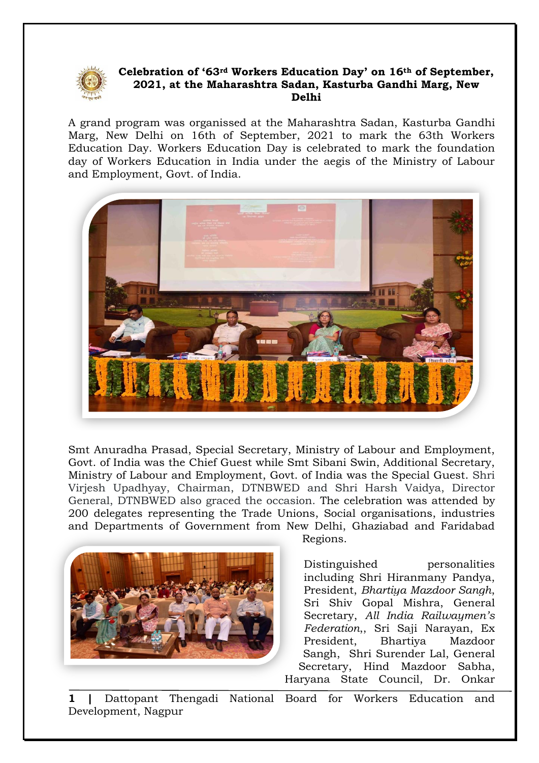

## **Celebration of '63rd Workers Education Day' on 16th of September, 2021, at the Maharashtra Sadan, Kasturba Gandhi Marg, New Delhi**

A grand program was organissed at the Maharashtra Sadan, Kasturba Gandhi Marg, New Delhi on 16th of September, 2021 to mark the 63th Workers Education Day. Workers Education Day is celebrated to mark the foundation day of Workers Education in India under the aegis of the Ministry of Labour and Employment, Govt. of India.



Smt Anuradha Prasad, Special Secretary, Ministry of Labour and Employment, Govt. of India was the Chief Guest while Smt Sibani Swin, Additional Secretary, Ministry of Labour and Employment, Govt. of India was the Special Guest. Shri Virjesh Upadhyay, Chairman, DTNBWED and Shri Harsh Vaidya, Director General, DTNBWED also graced the occasion. The celebration was attended by 200 delegates representing the Trade Unions, Social organisations, industries and Departments of Government from New Delhi, Ghaziabad and Faridabad



Regions.

Distinguished personalities including Shri Hiranmany Pandya, President, *Bhartiya Mazdoor Sangh*, Sri Shiv Gopal Mishra, General Secretary, *All India Railwaymen's Federation*,, Sri Saji Narayan, Ex President, Bhartiya Mazdoor Sangh, Shri Surender Lal, General Secretary, Hind Mazdoor Sabha, Haryana State Council, Dr. Onkar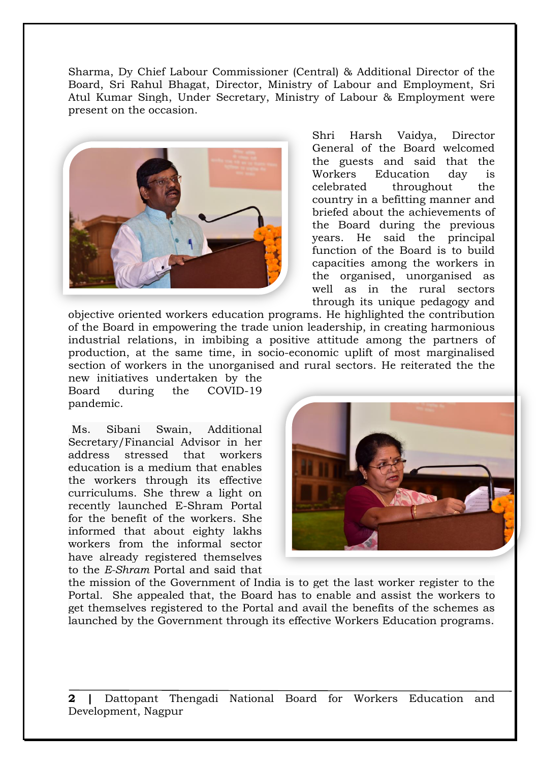Sharma, Dy Chief Labour Commissioner (Central) & Additional Director of the Board, Sri Rahul Bhagat, Director, Ministry of Labour and Employment, Sri Atul Kumar Singh, Under Secretary, Ministry of Labour & Employment were present on the occasion.



Shri Harsh Vaidya, Director General of the Board welcomed the guests and said that the Workers Education day is celebrated throughout the country in a befitting manner and briefed about the achievements of the Board during the previous years. He said the principal function of the Board is to build capacities among the workers in the organised, unorganised as well as in the rural sectors through its unique pedagogy and

objective oriented workers education programs. He highlighted the contribution of the Board in empowering the trade union leadership, in creating harmonious industrial relations, in imbibing a positive attitude among the partners of production, at the same time, in socio-economic uplift of most marginalised section of workers in the unorganised and rural sectors. He reiterated the the new initiatives undertaken by the

Board during the COVID-19 pandemic.

Ms. Sibani Swain, Additional Secretary/Financial Advisor in her address stressed that workers education is a medium that enables the workers through its effective curriculums. She threw a light on recently launched E-Shram Portal for the benefit of the workers. She informed that about eighty lakhs workers from the informal sector have already registered themselves to the *E-Shram* Portal and said that



the mission of the Government of India is to get the last worker register to the Portal. She appealed that, the Board has to enable and assist the workers to get themselves registered to the Portal and avail the benefits of the schemes as launched by the Government through its effective Workers Education programs.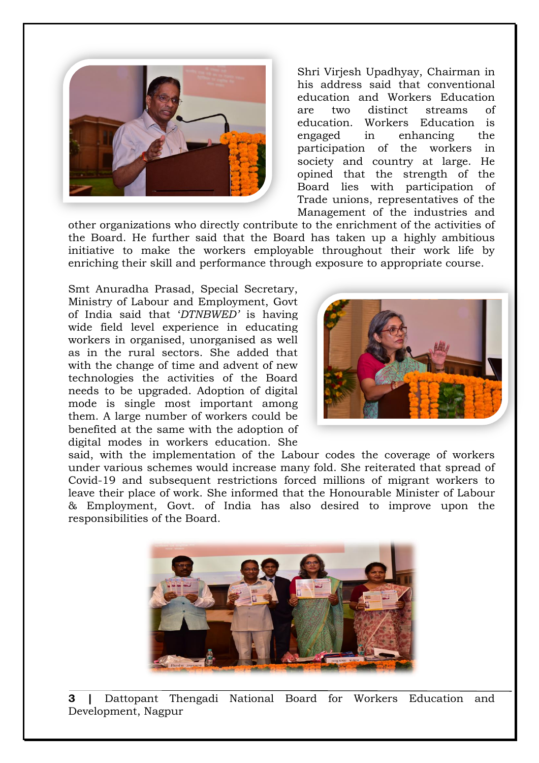

Shri Virjesh Upadhyay, Chairman in his address said that conventional education and Workers Education are two distinct streams of education. Workers Education is engaged in enhancing the participation of the workers in society and country at large. He opined that the strength of the Board lies with participation of Trade unions, representatives of the Management of the industries and

other organizations who directly contribute to the enrichment of the activities of the Board. He further said that the Board has taken up a highly ambitious initiative to make the workers employable throughout their work life by enriching their skill and performance through exposure to appropriate course.

Smt Anuradha Prasad, Special Secretary, Ministry of Labour and Employment, Govt of India said that '*DTNBWED'* is having wide field level experience in educating workers in organised, unorganised as well as in the rural sectors. She added that with the change of time and advent of new technologies the activities of the Board needs to be upgraded. Adoption of digital mode is single most important among them. A large number of workers could be benefited at the same with the adoption of digital modes in workers education. She



said, with the implementation of the Labour codes the coverage of workers under various schemes would increase many fold. She reiterated that spread of Covid-19 and subsequent restrictions forced millions of migrant workers to leave their place of work. She informed that the Honourable Minister of Labour & Employment, Govt. of India has also desired to improve upon the responsibilities of the Board.